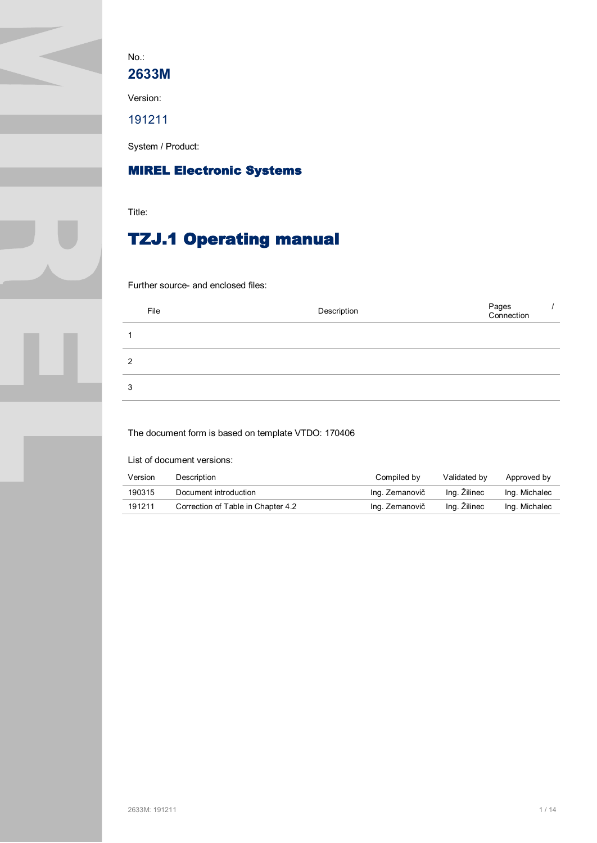No.:

**2633M**

Version:

191211

System / Product:

# **MIREL Electronic Systems**

Title:

# **TZJ.1 Operating manual**

Further source- and enclosed files:

|   | File | Description | Pages<br>Connection |  |
|---|------|-------------|---------------------|--|
|   |      |             |                     |  |
| 2 |      |             |                     |  |
| 3 |      |             |                     |  |

The document form is based on template VTDO: 170406

List of document versions:

| Version | Description                        | Compiled by    | Validated by | Approved by   |
|---------|------------------------------------|----------------|--------------|---------------|
| 190315  | Document introduction              | Ing. Zemanovič | Ing. Zilinec | Ing. Michalec |
| 191211  | Correction of Table in Chapter 4.2 | Ing. Zemanovič | Ing. Zilinec | Ing. Michalec |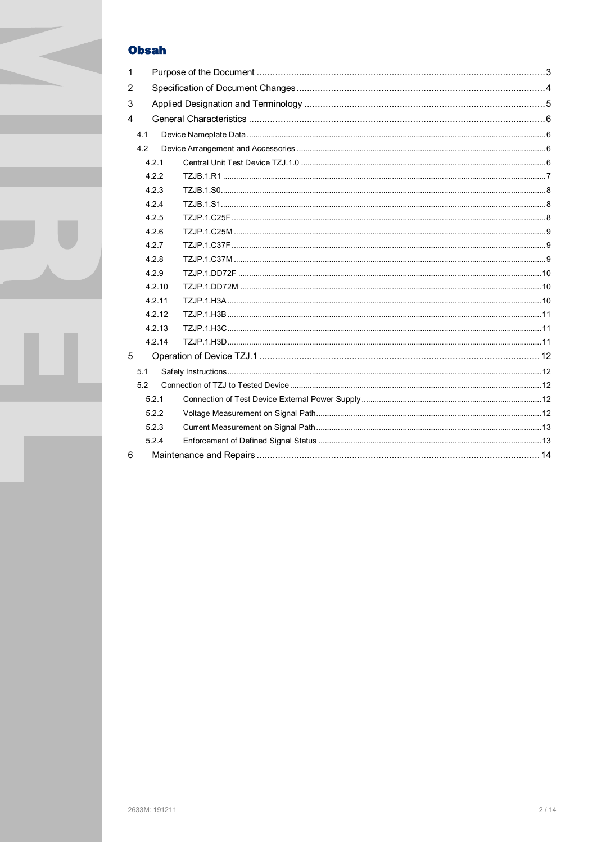## **Obsah**

| $\mathbf{1}$ |        |  |  |  |
|--------------|--------|--|--|--|
| 2            |        |  |  |  |
| 3            |        |  |  |  |
| 4            |        |  |  |  |
|              | 4.1    |  |  |  |
|              | 4.2    |  |  |  |
|              | 4.2.1  |  |  |  |
|              | 4.2.2  |  |  |  |
|              | 4.2.3  |  |  |  |
|              | 4.2.4  |  |  |  |
|              | 4.2.5  |  |  |  |
|              | 4.2.6  |  |  |  |
|              | 4.2.7  |  |  |  |
|              | 4.2.8  |  |  |  |
|              | 4.2.9  |  |  |  |
|              | 4.2.10 |  |  |  |
|              | 4.2.11 |  |  |  |
|              | 4.2.12 |  |  |  |
|              | 4.2.13 |  |  |  |
|              | 4.2.14 |  |  |  |
| 5            |        |  |  |  |
|              | 5.1    |  |  |  |
|              | 5.2    |  |  |  |
|              | 5.2.1  |  |  |  |
|              | 5.2.2  |  |  |  |
|              | 5.2.3  |  |  |  |
|              | 5.2.4  |  |  |  |
| 6            |        |  |  |  |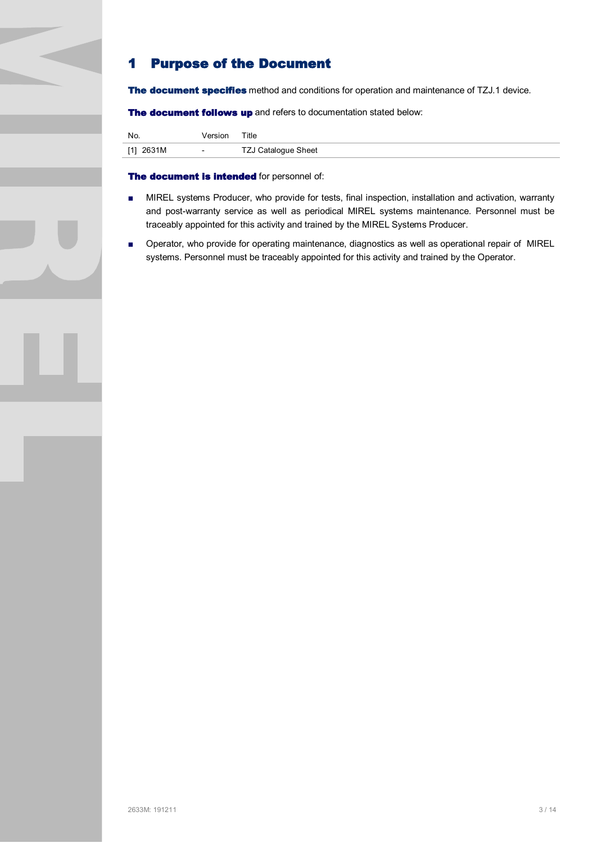## **1 Purpose of the Document**

**The document specifies** method and conditions for operation and maintenance of TZJ.1 device.

**The document follows up** and refers to documentation stated below:

| No.       | Version       | Title                      |
|-----------|---------------|----------------------------|
| [1] 2631M | $\sim$ $\sim$ | <b>TZJ Catalogue Sheet</b> |

#### **The document is intended** for personnel of:

- MIREL systems Producer, who provide for tests, final inspection, installation and activation, warranty and post-warranty service as well as periodical MIREL systems maintenance. Personnel must be traceably appointed for this activity and trained by the MIREL Systems Producer.
- Operator, who provide for operating maintenance, diagnostics as well as operational repair of MIREL systems. Personnel must be traceably appointed for this activity and trained by the Operator.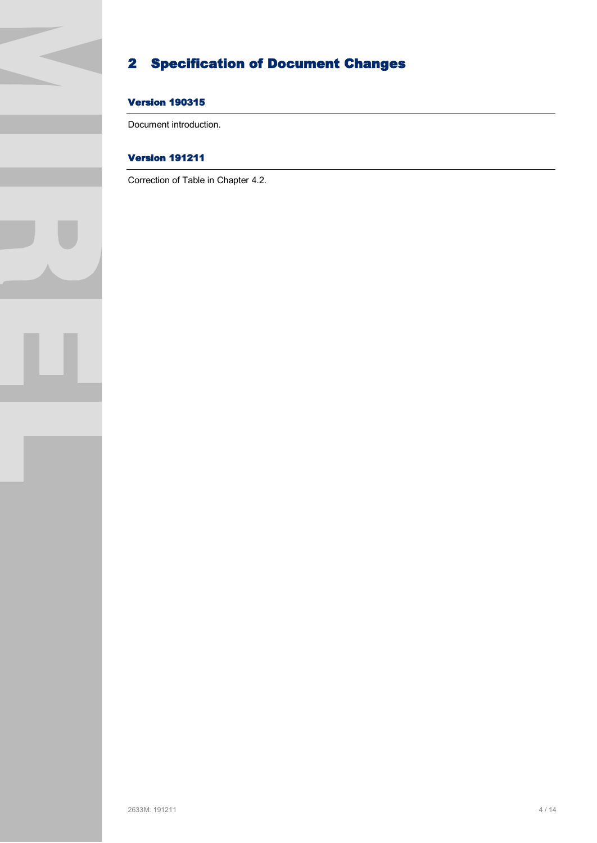# **2 Specification of Document Changes**

## **Version 190315**

Document introduction.

## **Version 191211**

Correction of Table in Chapter 4.2.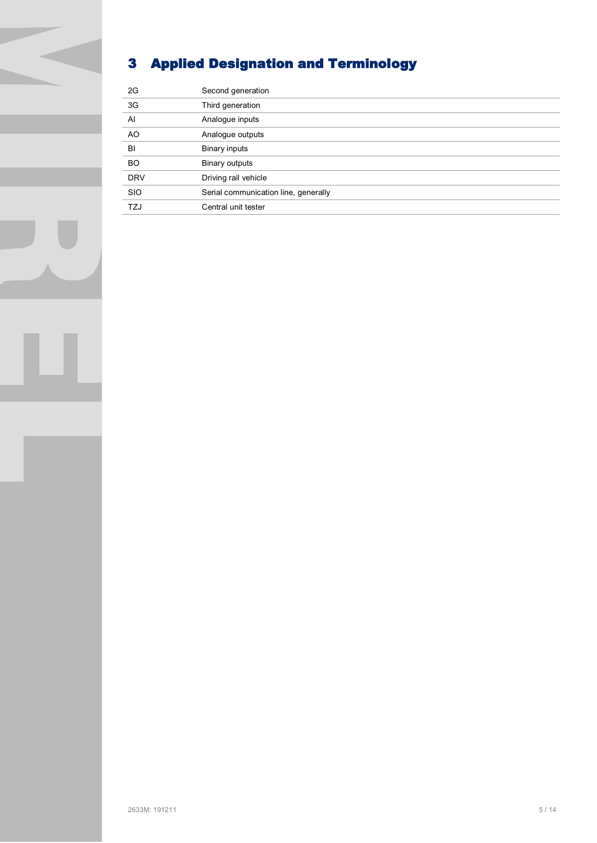# **3 Applied Designation and Terminology**

| 2G             | Second generation                    |
|----------------|--------------------------------------|
| 3G             | Third generation                     |
| $\overline{A}$ | Analogue inputs                      |
| AO             | Analogue outputs                     |
| BI             | Binary inputs                        |
| <b>BO</b>      | Binary outputs                       |
| <b>DRV</b>     | Driving rail vehicle                 |
| <b>SIO</b>     | Serial communication line, generally |
| <b>TZJ</b>     | Central unit tester                  |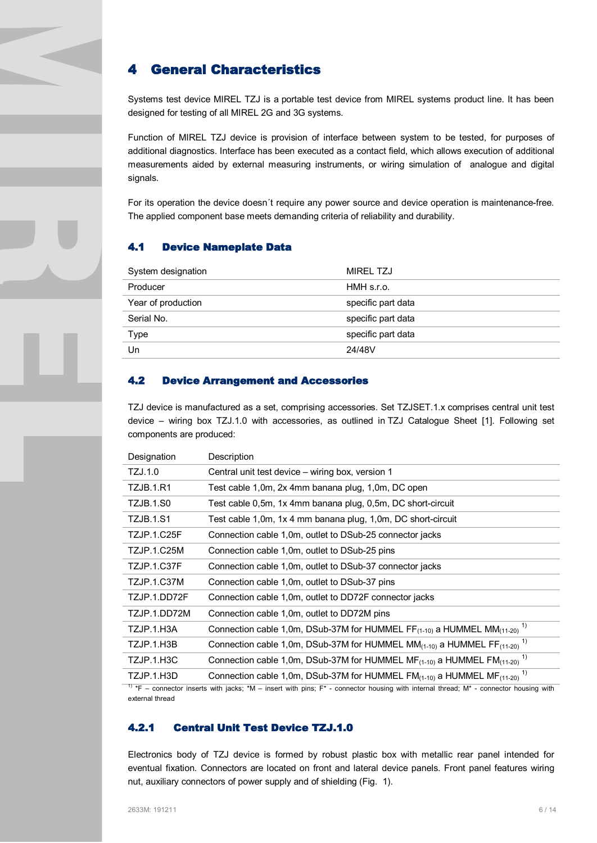## **4 General Characteristics**

Systems test device MIREL TZJ is a portable test device from MIREL systems product line. It has been designed for testing of all MIREL 2G and 3G systems.

Function of MIREL TZJ device is provision of interface between system to be tested, for purposes of additional diagnostics. Interface has been executed as a contact field, which allows execution of additional measurements aided by external measuring instruments, or wiring simulation of analogue and digital signals.

For its operation the device doesn´t require any power source and device operation is maintenance-free. The applied component base meets demanding criteria of reliability and durability.

#### **4.1 Device Nameplate Data**

| System designation | <b>MIREL TZJ</b>   |
|--------------------|--------------------|
| Producer           | HMH s.r.o.         |
| Year of production | specific part data |
| Serial No.         | specific part data |
| Type               | specific part data |
| Un                 | 24/48V             |

#### **4.2 Device Arrangement and Accessories**

TZJ device is manufactured as a set, comprising accessories. Set TZJSET.1.x comprises central unit test device – wiring box TZJ.1.0 with accessories, as outlined in TZJ Catalogue Sheet [1]. Following set components are produced:

| Designation                                                                                                                                  | Description                                                                                                    |  |
|----------------------------------------------------------------------------------------------------------------------------------------------|----------------------------------------------------------------------------------------------------------------|--|
| TZJ.1.0                                                                                                                                      | Central unit test device – wiring box, version 1                                                               |  |
| TZJB.1.R1                                                                                                                                    | Test cable 1,0m, 2x 4mm banana plug, 1,0m, DC open                                                             |  |
| TZJB.1.S0                                                                                                                                    | Test cable 0,5m, 1x 4mm banana plug, 0,5m, DC short-circuit                                                    |  |
| <b>TZJB.1.S1</b>                                                                                                                             | Test cable 1,0m, 1x 4 mm banana plug, 1,0m, DC short-circuit                                                   |  |
| <b>TZJP.1.C25F</b>                                                                                                                           | Connection cable 1,0m, outlet to DSub-25 connector jacks                                                       |  |
| <b>TZJP.1.C25M</b>                                                                                                                           | Connection cable 1,0m, outlet to DSub-25 pins                                                                  |  |
| TZJP.1.C37F                                                                                                                                  | Connection cable 1,0m, outlet to DSub-37 connector jacks                                                       |  |
| TZJP.1.C37M                                                                                                                                  | Connection cable 1,0m, outlet to DSub-37 pins                                                                  |  |
| TZJP.1.DD72F                                                                                                                                 | Connection cable 1,0m, outlet to DD72F connector jacks                                                         |  |
| TZJP.1.DD72M                                                                                                                                 | Connection cable 1,0m, outlet to DD72M pins                                                                    |  |
| TZJP.1.H3A                                                                                                                                   | Connection cable 1,0m, DSub-37M for HUMMEL FF $_{(1\text{-}10)}$ a HUMMEL MM $_{(11\text{-}20)}$ <sup>1)</sup> |  |
| TZJP.1.H3B                                                                                                                                   | Connection cable 1,0m, DSub-37M for HUMMEL MM $_{(1-10)}$ a HUMMEL FF $_{(11-20)}$ <sup>1)</sup>               |  |
| TZJP.1.H3C                                                                                                                                   | Connection cable 1,0m, DSub-37M for HUMMEL $MF_{(1\cdot10)}$ a HUMMEL $FM_{(11\cdot20)}$ <sup>1)</sup>         |  |
| TZJP.1.H3D                                                                                                                                   | Connection cable 1,0m, DSub-37M for HUMMEL $FM_{(1-10)}$ a HUMMEL MF $_{(11-20)}$ <sup>1)</sup>                |  |
| $^{1}$ *F – connector inserts with jacks: *M – insert with nins: $F^*$ - connector bousing with internal thread: M* - connector bousing with |                                                                                                                |  |

) or inserts with jacks; \*M – insert with pins; F\* - connector housing with internal thread; M\* - connector housing with external thread

#### **4.2.1 Central Unit Test Device TZJ.1.0**

Electronics body of TZJ device is formed by robust plastic box with metallic rear panel intended for eventual fixation. Connectors are located on front and lateral device panels. Front panel features wiring nut, auxiliary connectors of power supply and of shielding (Fig. 1).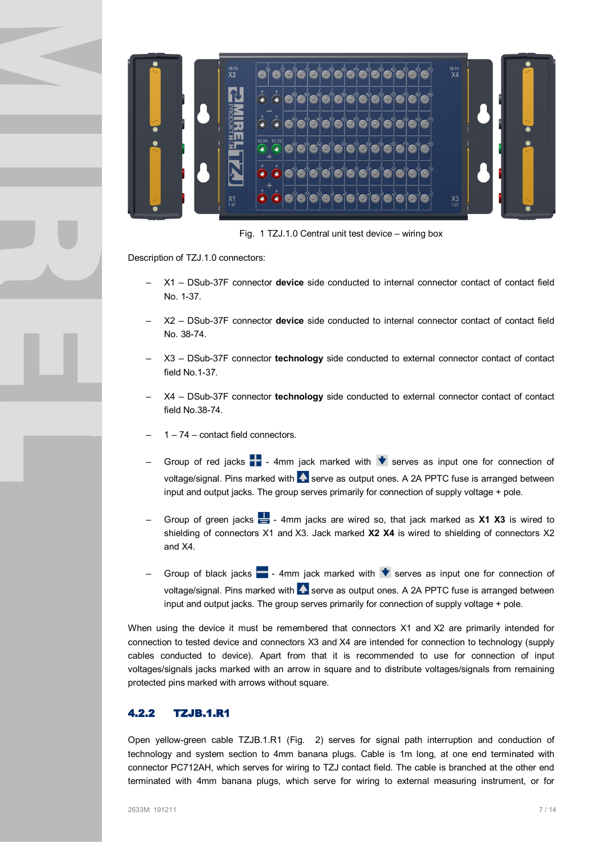

Fig. 1 TZJ.1.0 Central unit test device – wiring box

Description of TZJ.1.0 connectors:

- X1 DSub-37F connector **device** side conducted to internal connector contact of contact field No. 1-37.
- X2 DSub-37F connector **device** side conducted to internal connector contact of contact field No. 38-74.
- X3 DSub-37F connector **technology** side conducted to external connector contact of contact field No.1-37.
- X4 DSub-37F connector **technology** side conducted to external connector contact of contact field No.38-74.
- 1 74 contact field connectors.
- Group of red jacks  $\blacksquare$  4mm jack marked with  $\blacktriangledown$  serves as input one for connection of voltage/signal. Pins marked with  $\blacktriangle$  serve as output ones. A 2A PPTC fuse is arranged between input and output jacks. The group serves primarily for connection of supply voltage + pole.
- Group of green jacks 4mm jacks are wired so, that jack marked as **X1 X3** is wired to shielding of connectors X1 and X3. Jack marked **X2 X4** is wired to shielding of connectors X2 and X4.
- Group of black jacks  $\blacksquare$  4mm jack marked with  $\blacktriangledown$  serves as input one for connection of voltage/signal. Pins marked with  $\blacktriangle$  serve as output ones. A 2A PPTC fuse is arranged between input and output jacks. The group serves primarily for connection of supply voltage + pole.

When using the device it must be remembered that connectors X1 and X2 are primarily intended for connection to tested device and connectors X3 and X4 are intended for connection to technology (supply cables conducted to device). Apart from that it is recommended to use for connection of input voltages/signals jacks marked with an arrow in square and to distribute voltages/signals from remaining protected pins marked with arrows without square.

#### **4.2.2 TZJB.1.R1**

Open yellow-green cable TZJB.1.R1 (Fig. 2) serves for signal path interruption and conduction of technology and system section to 4mm banana plugs. Cable is 1m long, at one end terminated with connector PC712AH, which serves for wiring to TZJ contact field. The cable is branched at the other end terminated with 4mm banana plugs, which serve for wiring to external measuring instrument, or for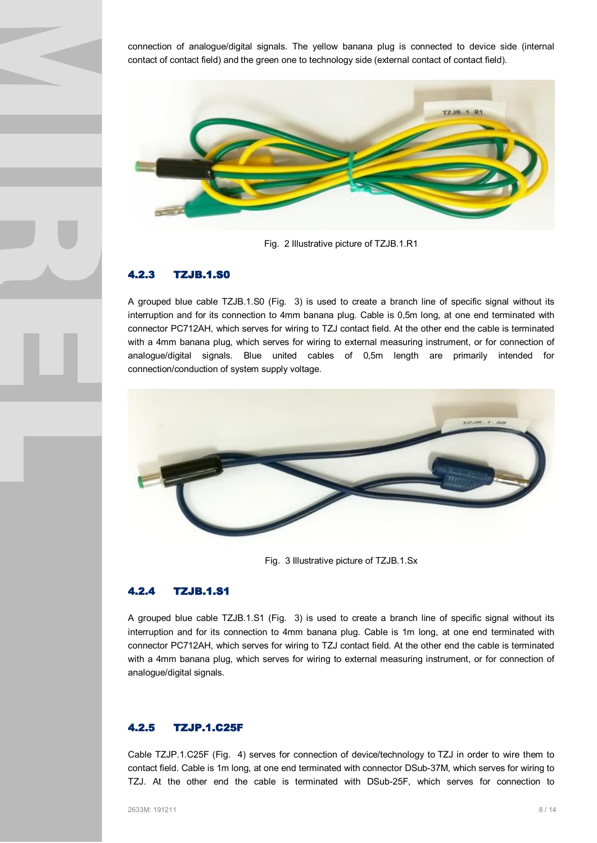connection of analogue/digital signals. The yellow banana plug is connected to device side (internal contact of contact field) and the green one to technology side (external contact of contact field).



Fig. 2 Illustrative picture of TZJB.1.R1

#### **4.2.3 TZJB.1.S0**

A grouped blue cable TZJB.1.S0 (Fig. 3) is used to create a branch line of specific signal without its interruption and for its connection to 4mm banana plug. Cable is 0,5m long, at one end terminated with connector PC712AH, which serves for wiring to TZJ contact field. At the other end the cable is terminated with a 4mm banana plug, which serves for wiring to external measuring instrument, or for connection of analogue/digital signals. Blue united cables of 0,5m length are primarily intended for connection/conduction of system supply voltage.



Fig. 3 Illustrative picture of TZJB.1.Sx

### **4.2.4 TZJB.1.S1**

A grouped blue cable TZJB.1.S1 (Fig. 3) is used to create a branch line of specific signal without its interruption and for its connection to 4mm banana plug. Cable is 1m long, at one end terminated with connector PC712AH, which serves for wiring to TZJ contact field. At the other end the cable is terminated with a 4mm banana plug, which serves for wiring to external measuring instrument, or for connection of analogue/digital signals.

#### **4.2.5 TZJP.1.C25F**

Cable TZJP.1.C25F (Fig. 4) serves for connection of device/technology to TZJ in order to wire them to contact field. Cable is 1m long, at one end terminated with connector DSub-37M, which serves for wiring to TZJ. At the other end the cable is terminated with DSub-25F, which serves for connection to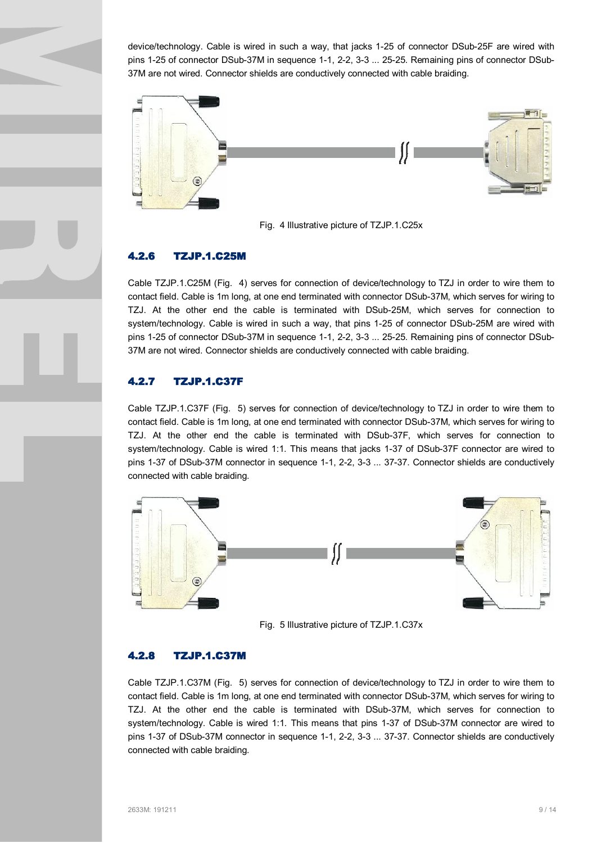device/technology. Cable is wired in such a way, that jacks 1-25 of connector DSub-25F are wired with pins 1-25 of connector DSub-37M in sequence 1-1, 2-2, 3-3 ... 25-25. Remaining pins of connector DSub-37M are not wired. Connector shields are conductively connected with cable braiding.



Fig. 4 Illustrative picture of TZJP.1.C25x

### **4.2.6 TZJP.1.C25M**

Cable TZJP.1.C25M (Fig. 4) serves for connection of device/technology to TZJ in order to wire them to contact field. Cable is 1m long, at one end terminated with connector DSub-37M, which serves for wiring to TZJ. At the other end the cable is terminated with DSub-25M, which serves for connection to system/technology. Cable is wired in such a way, that pins 1-25 of connector DSub-25M are wired with pins 1-25 of connector DSub-37M in sequence 1-1, 2-2, 3-3 ... 25-25. Remaining pins of connector DSub-37M are not wired. Connector shields are conductively connected with cable braiding.

#### **4.2.7 TZJP.1.C37F**

Cable TZJP.1.C37F (Fig. 5) serves for connection of device/technology to TZJ in order to wire them to contact field. Cable is 1m long, at one end terminated with connector DSub-37M, which serves for wiring to TZJ. At the other end the cable is terminated with DSub-37F, which serves for connection to system/technology. Cable is wired 1:1. This means that jacks 1-37 of DSub-37F connector are wired to pins 1-37 of DSub-37M connector in sequence 1-1, 2-2, 3-3 ... 37-37. Connector shields are conductively connected with cable braiding.



Fig. 5 Illustrative picture of TZJP.1.C37x

#### **4.2.8 TZJP.1.C37M**

Cable TZJP.1.C37M (Fig. 5) serves for connection of device/technology to TZJ in order to wire them to contact field. Cable is 1m long, at one end terminated with connector DSub-37M, which serves for wiring to TZJ. At the other end the cable is terminated with DSub-37M, which serves for connection to system/technology. Cable is wired 1:1. This means that pins 1-37 of DSub-37M connector are wired to pins 1-37 of DSub-37M connector in sequence 1-1, 2-2, 3-3 ... 37-37. Connector shields are conductively connected with cable braiding.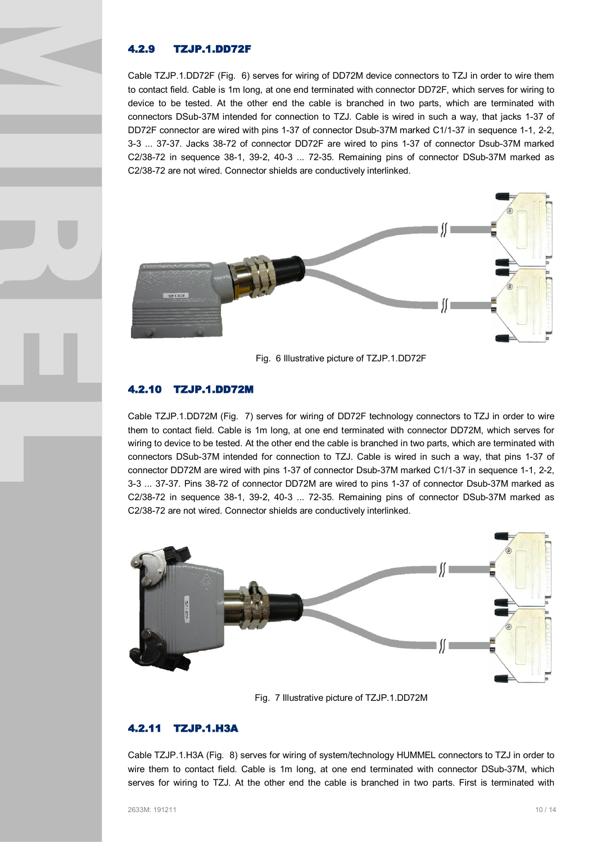#### **4.2.9 TZJP.1.DD72F**

Cable TZJP.1.DD72F (Fig. 6) serves for wiring of DD72M device connectors to TZJ in order to wire them to contact field. Cable is 1m long, at one end terminated with connector DD72F, which serves for wiring to device to be tested. At the other end the cable is branched in two parts, which are terminated with connectors DSub-37M intended for connection to TZJ. Cable is wired in such a way, that jacks 1-37 of DD72F connector are wired with pins 1-37 of connector Dsub-37M marked C1/1-37 in sequence 1-1, 2-2, 3-3 ... 37-37. Jacks 38-72 of connector DD72F are wired to pins 1-37 of connector Dsub-37M marked C2/38-72 in sequence 38-1, 39-2, 40-3 ... 72-35. Remaining pins of connector DSub-37M marked as C2/38-72 are not wired. Connector shields are conductively interlinked.



Fig. 6 Illustrative picture of TZJP.1.DD72F

## **4.2.10 TZJP.1.DD72M**

Cable TZJP.1.DD72M (Fig. 7) serves for wiring of DD72F technology connectors to TZJ in order to wire them to contact field. Cable is 1m long, at one end terminated with connector DD72M, which serves for wiring to device to be tested. At the other end the cable is branched in two parts, which are terminated with connectors DSub-37M intended for connection to TZJ. Cable is wired in such a way, that pins 1-37 of connector DD72M are wired with pins 1-37 of connector Dsub-37M marked C1/1-37 in sequence 1-1, 2-2, 3-3 ... 37-37. Pins 38-72 of connector DD72M are wired to pins 1-37 of connector Dsub-37M marked as C2/38-72 in sequence 38-1, 39-2, 40-3 ... 72-35. Remaining pins of connector DSub-37M marked as C2/38-72 are not wired. Connector shields are conductively interlinked.



Fig. 7 Illustrative picture of TZJP.1.DD72M

#### **4.2.11 TZJP.1.H3A**

Cable TZJP.1.H3A (Fig. 8) serves for wiring of system/technology HUMMEL connectors to TZJ in order to wire them to contact field. Cable is 1m long, at one end terminated with connector DSub-37M, which serves for wiring to TZJ. At the other end the cable is branched in two parts. First is terminated with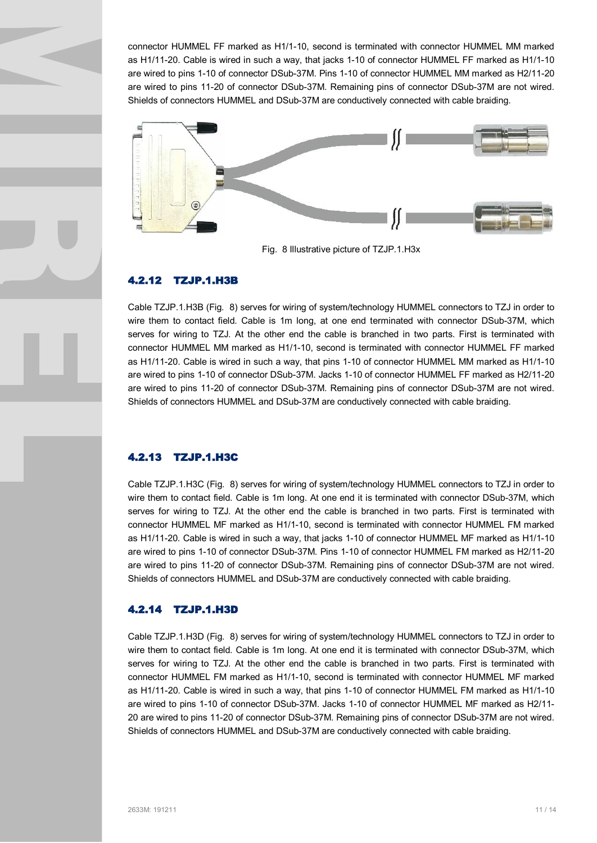connector HUMMEL FF marked as H1/1-10, second is terminated with connector HUMMEL MM marked as H1/11-20. Cable is wired in such a way, that jacks 1-10 of connector HUMMEL FF marked as H1/1-10 are wired to pins 1-10 of connector DSub-37M. Pins 1-10 of connector HUMMEL MM marked as H2/11-20 are wired to pins 11-20 of connector DSub-37M. Remaining pins of connector DSub-37M are not wired. Shields of connectors HUMMEL and DSub-37M are conductively connected with cable braiding.



Fig. 8 Illustrative picture of TZJP.1.H3x

#### **4.2.12 TZJP.1.H3B**

Cable TZJP.1.H3B (Fig. 8) serves for wiring of system/technology HUMMEL connectors to TZJ in order to wire them to contact field. Cable is 1m long, at one end terminated with connector DSub-37M, which serves for wiring to TZJ. At the other end the cable is branched in two parts. First is terminated with connector HUMMEL MM marked as H1/1-10, second is terminated with connector HUMMEL FF marked as H1/11-20. Cable is wired in such a way, that pins 1-10 of connector HUMMEL MM marked as H1/1-10 are wired to pins 1-10 of connector DSub-37M. Jacks 1-10 of connector HUMMEL FF marked as H2/11-20 are wired to pins 11-20 of connector DSub-37M. Remaining pins of connector DSub-37M are not wired. Shields of connectors HUMMEL and DSub-37M are conductively connected with cable braiding.

#### **4.2.13 TZJP.1.H3C**

Cable TZJP.1.H3C (Fig. 8) serves for wiring of system/technology HUMMEL connectors to TZJ in order to wire them to contact field. Cable is 1m long. At one end it is terminated with connector DSub-37M, which serves for wiring to TZJ. At the other end the cable is branched in two parts. First is terminated with connector HUMMEL MF marked as H1/1-10, second is terminated with connector HUMMEL FM marked as H1/11-20. Cable is wired in such a way, that jacks 1-10 of connector HUMMEL MF marked as H1/1-10 are wired to pins 1-10 of connector DSub-37M. Pins 1-10 of connector HUMMEL FM marked as H2/11-20 are wired to pins 11-20 of connector DSub-37M. Remaining pins of connector DSub-37M are not wired. Shields of connectors HUMMEL and DSub-37M are conductively connected with cable braiding.

#### **4.2.14 TZJP.1.H3D**

Cable TZJP.1.H3D (Fig. 8) serves for wiring of system/technology HUMMEL connectors to TZJ in order to wire them to contact field. Cable is 1m long. At one end it is terminated with connector DSub-37M, which serves for wiring to TZJ. At the other end the cable is branched in two parts. First is terminated with connector HUMMEL FM marked as H1/1-10, second is terminated with connector HUMMEL MF marked as H1/11-20. Cable is wired in such a way, that pins 1-10 of connector HUMMEL FM marked as H1/1-10 are wired to pins 1-10 of connector DSub-37M. Jacks 1-10 of connector HUMMEL MF marked as H2/11- 20 are wired to pins 11-20 of connector DSub-37M. Remaining pins of connector DSub-37M are not wired. Shields of connectors HUMMEL and DSub-37M are conductively connected with cable braiding.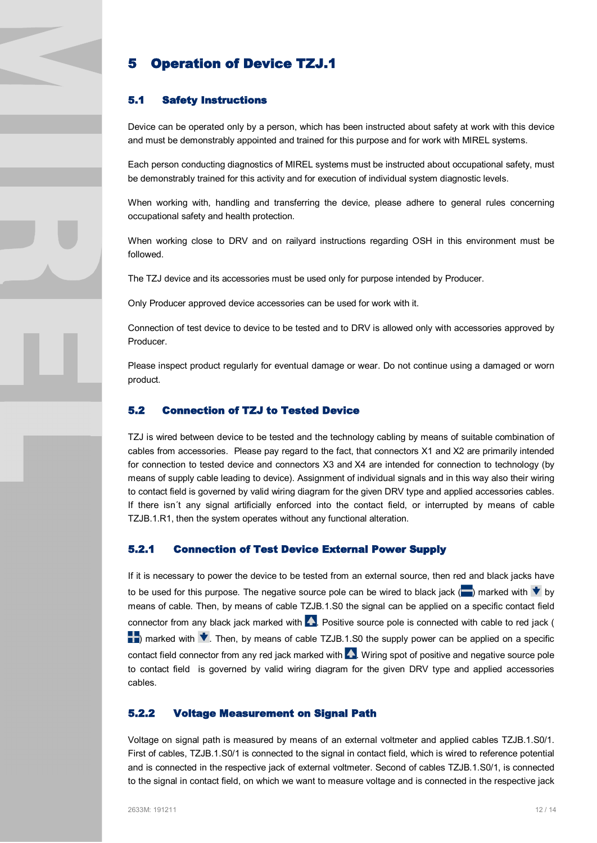## **5 Operation of Device TZJ.1**

#### **5.1 Safety Instructions**

Device can be operated only by a person, which has been instructed about safety at work with this device and must be demonstrably appointed and trained for this purpose and for work with MIREL systems.

Each person conducting diagnostics of MIREL systems must be instructed about occupational safety, must be demonstrably trained for this activity and for execution of individual system diagnostic levels.

When working with, handling and transferring the device, please adhere to general rules concerning occupational safety and health protection.

When working close to DRV and on railyard instructions regarding OSH in this environment must be followed.

The TZJ device and its accessories must be used only for purpose intended by Producer.

Only Producer approved device accessories can be used for work with it.

Connection of test device to device to be tested and to DRV is allowed only with accessories approved by Producer.

Please inspect product regularly for eventual damage or wear. Do not continue using a damaged or worn product.

#### **5.2 Connection of TZJ to Tested Device**

TZJ is wired between device to be tested and the technology cabling by means of suitable combination of cables from accessories. Please pay regard to the fact, that connectors X1 and X2 are primarily intended for connection to tested device and connectors X3 and X4 are intended for connection to technology (by means of supply cable leading to device). Assignment of individual signals and in this way also their wiring to contact field is governed by valid wiring diagram for the given DRV type and applied accessories cables. If there isn´t any signal artificially enforced into the contact field, or interrupted by means of cable TZJB.1.R1, then the system operates without any functional alteration.

#### **5.2.1 Connection of Test Device External Power Supply**

If it is necessary to power the device to be tested from an external source, then red and black jacks have to be used for this purpose. The negative source pole can be wired to black jack ( $\Box$ ) marked with  $\bigtriangledown$  by means of cable. Then, by means of cable TZJB.1.S0 the signal can be applied on a specific contact field connector from any black jack marked with  $\blacktriangle$ . Positive source pole is connected with cable to red jack (  $\blacktriangleright$  marked with  $\blacktriangleright$ . Then, by means of cable TZJB.1.S0 the supply power can be applied on a specific contact field connector from any red jack marked with  $\blacktriangle$ . Wiring spot of positive and negative source pole to contact field is governed by valid wiring diagram for the given DRV type and applied accessories cables.

#### **5.2.2 Voltage Measurement on Signal Path**

Voltage on signal path is measured by means of an external voltmeter and applied cables TZJB.1.S0/1. First of cables, TZJB.1.S0/1 is connected to the signal in contact field, which is wired to reference potential and is connected in the respective jack of external voltmeter. Second of cables TZJB.1.S0/1, is connected to the signal in contact field, on which we want to measure voltage and is connected in the respective jack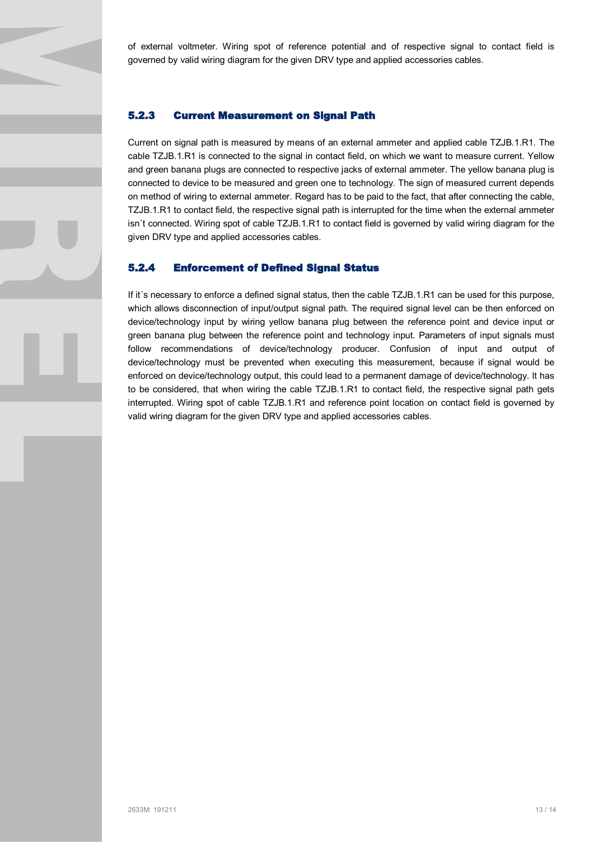of external voltmeter. Wiring spot of reference potential and of respective signal to contact field is governed by valid wiring diagram for the given DRV type and applied accessories cables.

#### **5.2.3 Current Measurement on Signal Path**

Current on signal path is measured by means of an external ammeter and applied cable TZJB.1.R1. The cable TZJB.1.R1 is connected to the signal in contact field, on which we want to measure current. Yellow and green banana plugs are connected to respective jacks of external ammeter. The yellow banana plug is connected to device to be measured and green one to technology. The sign of measured current depends on method of wiring to external ammeter. Regard has to be paid to the fact, that after connecting the cable, TZJB.1.R1 to contact field, the respective signal path is interrupted for the time when the external ammeter isn´t connected. Wiring spot of cable TZJB.1.R1 to contact field is governed by valid wiring diagram for the given DRV type and applied accessories cables.

#### **5.2.4 Enforcement of Defined Signal Status**

If it´s necessary to enforce a defined signal status, then the cable TZJB.1.R1 can be used for this purpose, which allows disconnection of input/output signal path. The required signal level can be then enforced on device/technology input by wiring yellow banana plug between the reference point and device input or green banana plug between the reference point and technology input. Parameters of input signals must follow recommendations of device/technology producer. Confusion of input and output of device/technology must be prevented when executing this measurement, because if signal would be enforced on device/technology output, this could lead to a permanent damage of device/technology. It has to be considered, that when wiring the cable TZJB.1.R1 to contact field, the respective signal path gets interrupted. Wiring spot of cable TZJB.1.R1 and reference point location on contact field is governed by valid wiring diagram for the given DRV type and applied accessories cables.